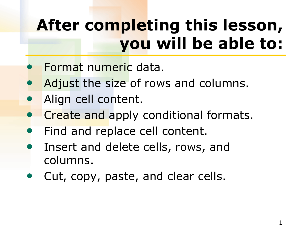## **After completing this lesson, you will be able to:**

- Format numeric data.
- Adjust the size of rows and columns.
- Align cell content.
- **Create and apply conditional formats.**
- Find and replace cell content.
- Insert and delete cells, rows, and columns.
- Cut, copy, paste, and clear cells.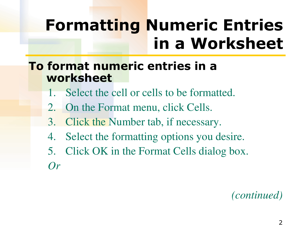## **Formatting Numeric Entries in a Worksheet**

**To format numeric entries in a worksheet** 

- Select the cell or cells to be formatted.
- 2. On the Format menu, click Cells.
- 3. Click the Number tab, if necessary.
- 4. Select the formatting options you desire.
- 5. Click OK in the Format Cells dialog box. *Or*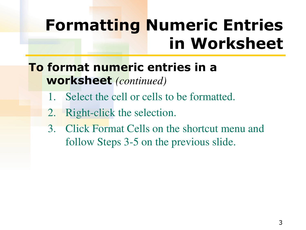## **Formatting Numeric Entries in Worksheet**

**To format numeric entries in a worksheet** *(continued)*

- 1. Select the cell or cells to be formatted.
- 2. Right-click the selection.
- 3. Click Format Cells on the shortcut menu and follow Steps 3-5 on the previous slide.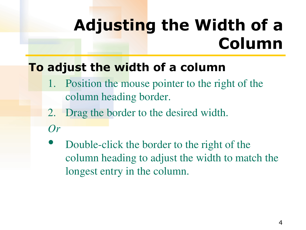## **Adjusting the Width of a Column**

#### **To adjust the width of a column**

- Position the mouse pointer to the right of the column heading border.
- 2. Drag the border to the desired width.
- *Or*
- Double-click the border to the right of the column heading to adjust the width to match the longest entry in the column.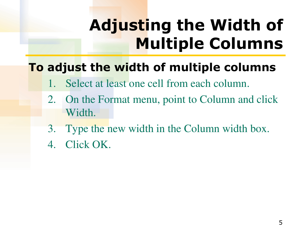# **Adjusting the Width of Multiple Columns**

#### **To adjust the width of multiple columns**

- Select at least one cell from each column.
- 2. On the Format menu, point to Column and click Width.
- 3. Type the new width in the Column width box.
- 4. Click OK.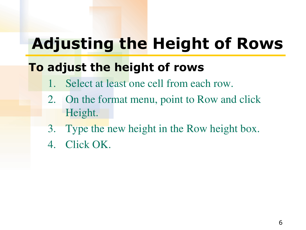## **Adjusting the Height of Rows**

#### **To adjust the height of rows**

- Select at least one cell from each row.
- 2. On the format menu, point to Row and click Height.
- 3. Type the new height in the Row height box.
- 4. Click OK.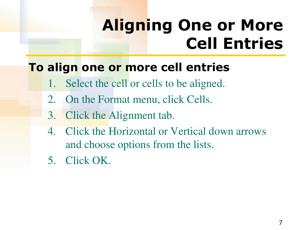## **Aligning One or More Cell Entries**

#### **To align one or more cell entries**

- 1. Select the cell or cells to be aligned.
- 2. On the Format menu, click Cells.
- 3. Click the Alignment tab.
- 4. Click the Horizontal or Vertical down arrows and choose options from the lists.
- 5. Click OK.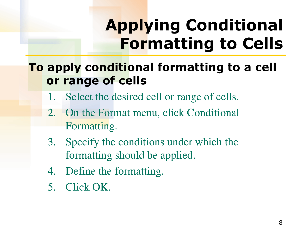# **Applying Conditional Formatting to Cells**

#### **To apply conditional formatting to a cell or range of cells**

- 1. Select the desired cell or range of cells.
- 2. On the Format menu, click Conditional Formatting.
- 3. Specify the conditions under which the formatting should be applied.
- 4. Define the formatting.
- 5. Click OK.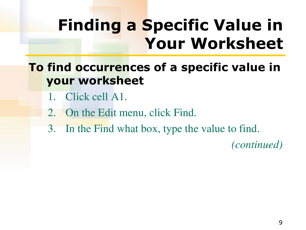## **Finding a Specific Value in Your Worksheet**

#### **To find occurrences of a specific value in your worksheet**

- Click cell A1.
- 2. On the Edit menu, click Find.
- 3. In the Find what box, type the value to find.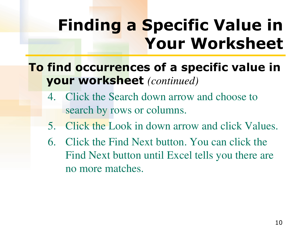## **Finding a Specific Value in Your Worksheet**

#### **To find occurrences of a specific value in your worksheet** *(continued)*

- 4. Click the Search down arrow and choose to search by rows or columns.
- 5. Click the Look in down arrow and click Values.
- 6. Click the Find Next button. You can click the Find Next button until Excel tells you there are no more matches.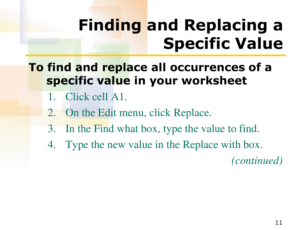## **Finding and Replacing a Specific Value**

#### **To find and replace all occurrences of a specific value in your worksheet**

- 1. Click cell A1.
- 2. On the Edit menu, click Replace.
- 3. In the Find what box, type the value to find.
- 4. Type the new value in the Replace with box.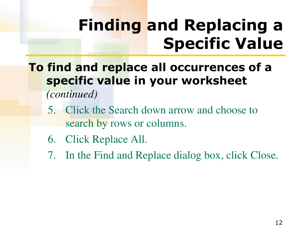## **Finding and Replacing a Specific Value**

#### **To find and replace all occurrences of a specific value in your worksheet**

- 5. Click the Search down arrow and choose to search by rows or columns.
- 6. Click Replace All.
- 7. In the Find and Replace dialog box, click Close.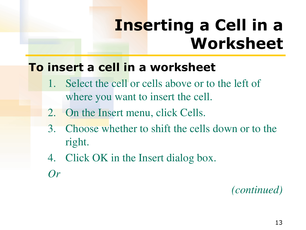## **Inserting a Cell in a Worksheet**

#### **To insert a cell in a worksheet**

- 1. Select the cell or cells above or to the left of where you want to insert the cell.
- 2. On the Insert menu, click Cells.
- 3. Choose whether to shift the cells down or to the right.
- 4. Click OK in the Insert dialog box.
- *Or*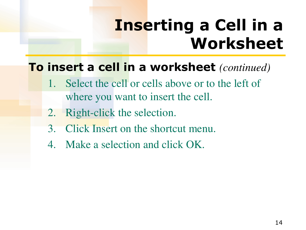## **Inserting a Cell in a Worksheet**

#### **To insert a cell in a worksheet** *(continued)*

- Select the cell or cells above or to the left of where you want to insert the cell.
- 2. Right-click the selection.
- 3. Click Insert on the shortcut menu.
- 4. Make a selection and click OK.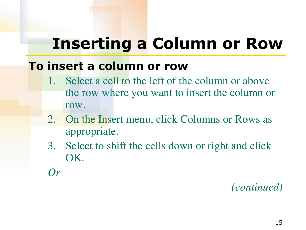### **Inserting a Column or Row**

#### **To insert a column or row**

- 1. Select a cell to the left of the column or above the row where you want to insert the column or row.
- 2. On the Insert menu, click Columns or Rows as appropriate.
- 3. Select to shift the cells down or right and click OK.
- *Or*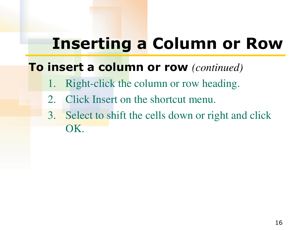### **Inserting a Column or Row**

#### **To insert a column or row** *(continued)*

- 1. Right-click the column or row heading.
- 2. Click Insert on the shortcut menu.
- 3. Select to shift the cells down or right and click OK.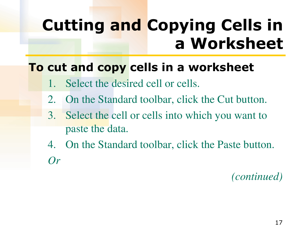## **Cutting and Copying Cells in a Worksheet**

#### **To cut and copy cells in a worksheet**

- Select the desired cell or cells.
- 2. On the Standard toolbar, click the Cut button.
- 3. Select the cell or cells into which you want to paste the data.
- 4. On the Standard toolbar, click the Paste button. *Or*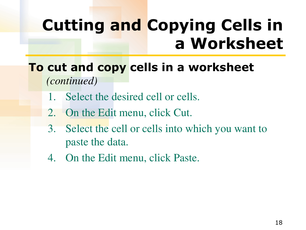## **Cutting and Copying Cells in a Worksheet**

**To cut and copy cells in a worksheet**  *(continued)* 

- 1. Select the desired cell or cells.
- 2. On the Edit menu, click Cut.
- 3. Select the cell or cells into which you want to paste the data.
- 4. On the Edit menu, click Paste.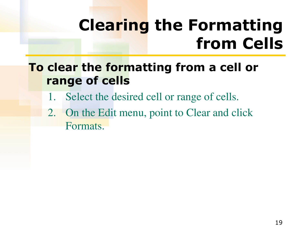## **Clearing the Formatting from Cells**

#### **To clear the formatting from a cell or range of cells**

- 1. Select the desired cell or range of cells.
- 2. On the Edit menu, point to Clear and click Formats.